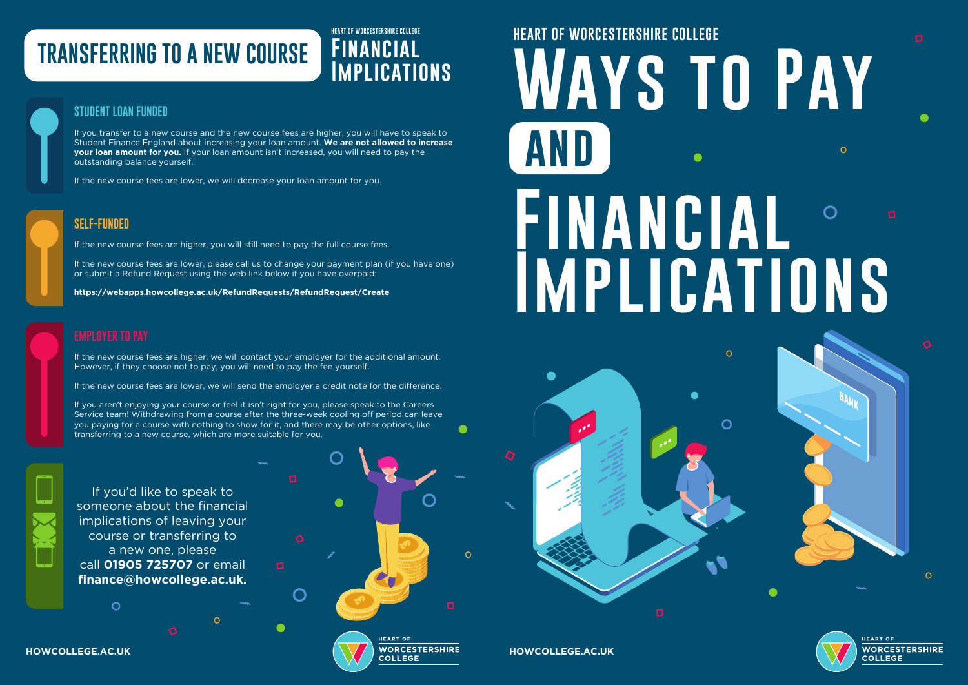$\Omega$  $\begin{pmatrix} \phantom{-} \end{pmatrix}$ **HEART OF HOWCOLLEGE.AC.UK HOWCOLLEGE.AC.UK**

## **TRANSFERRING TO A NEW COURSE**

## **HEART OF WORCESTERSHIRE COLLEGE Financial**

#### **STUDENT LOAN FUNDED**

If you transfer to a new course and the new course fees are higher, you will have to speak to Student Finance England about increasing your loan amount. **We are not allowed to increase your loan amount for you.** If your loan amount isn't increased, you will need to pay the outstanding balance yourself.

If the new course fees are lower, we will decrease your loan amount for you.



If you'd like to speak to someone about the financial implications of leaving your course or transferring to a new one, please call **01905 725707** or email **finance@howcollege.ac.uk.**

 $\mathcal{C}$ 

# **HEART OF WORCESTERSHIRE COLLEGE Ways to Pay and Financial Implications**

 $\bigcap$ 

 $\Omega$ 



### **SELF-FUNDED**

If the new course fees are higher, you will still need to pay the full course fees.

If the new course fees are lower, please call us to change your payment plan (if you have one) or submit a Refund Request using the web link below if you have overpaid:

**https://webapps.howcollege.ac.uk/RefundRequests/RefundRequest/Create**

If the new course fees are higher, we will contact your employer for the additional amount. However, if they choose not to pay, you will need to pay the fee yourself.

If the new course fees are lower, we will send the employer a credit note for the difference.

If you aren't enjoying your course or feel it isn't right for you, please speak to the Careers Service team! Withdrawing from a course after the three-week cooling off period can leave you paying for a course with nothing to show for it, and there may be other options, like transferring to a new course, which are more suitable for you.